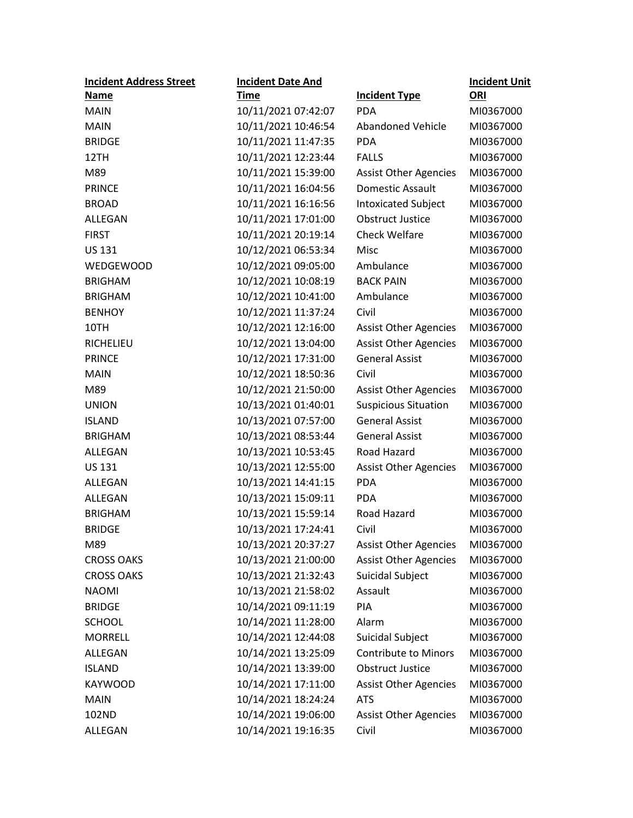| <b>Incident Address Street</b> | <b>Incident Date And</b> |                              | <b>Incident Unit</b> |
|--------------------------------|--------------------------|------------------------------|----------------------|
| <b>Name</b>                    | <b>Time</b>              | <b>Incident Type</b>         | ORI                  |
| <b>MAIN</b>                    | 10/11/2021 07:42:07      | <b>PDA</b>                   | MI0367000            |
| <b>MAIN</b>                    | 10/11/2021 10:46:54      | <b>Abandoned Vehicle</b>     | MI0367000            |
| <b>BRIDGE</b>                  | 10/11/2021 11:47:35      | <b>PDA</b>                   | MI0367000            |
| 12TH                           | 10/11/2021 12:23:44      | <b>FALLS</b>                 | MI0367000            |
| M89                            | 10/11/2021 15:39:00      | <b>Assist Other Agencies</b> | MI0367000            |
| <b>PRINCE</b>                  | 10/11/2021 16:04:56      | Domestic Assault             | MI0367000            |
| <b>BROAD</b>                   | 10/11/2021 16:16:56      | <b>Intoxicated Subject</b>   | MI0367000            |
| ALLEGAN                        | 10/11/2021 17:01:00      | <b>Obstruct Justice</b>      | MI0367000            |
| <b>FIRST</b>                   | 10/11/2021 20:19:14      | <b>Check Welfare</b>         | MI0367000            |
| <b>US 131</b>                  | 10/12/2021 06:53:34      | Misc                         | MI0367000            |
| <b>WEDGEWOOD</b>               | 10/12/2021 09:05:00      | Ambulance                    | MI0367000            |
| <b>BRIGHAM</b>                 | 10/12/2021 10:08:19      | <b>BACK PAIN</b>             | MI0367000            |
| <b>BRIGHAM</b>                 | 10/12/2021 10:41:00      | Ambulance                    | MI0367000            |
| <b>BENHOY</b>                  | 10/12/2021 11:37:24      | Civil                        | MI0367000            |
| 10TH                           | 10/12/2021 12:16:00      | <b>Assist Other Agencies</b> | MI0367000            |
| <b>RICHELIEU</b>               | 10/12/2021 13:04:00      | <b>Assist Other Agencies</b> | MI0367000            |
| <b>PRINCE</b>                  | 10/12/2021 17:31:00      | <b>General Assist</b>        | MI0367000            |
| <b>MAIN</b>                    | 10/12/2021 18:50:36      | Civil                        | MI0367000            |
| M89                            | 10/12/2021 21:50:00      | <b>Assist Other Agencies</b> | MI0367000            |
| <b>UNION</b>                   | 10/13/2021 01:40:01      | <b>Suspicious Situation</b>  | MI0367000            |
| <b>ISLAND</b>                  | 10/13/2021 07:57:00      | <b>General Assist</b>        | MI0367000            |
| <b>BRIGHAM</b>                 | 10/13/2021 08:53:44      | <b>General Assist</b>        | MI0367000            |
| ALLEGAN                        | 10/13/2021 10:53:45      | Road Hazard                  | MI0367000            |
| <b>US 131</b>                  | 10/13/2021 12:55:00      | <b>Assist Other Agencies</b> | MI0367000            |
| ALLEGAN                        | 10/13/2021 14:41:15      | <b>PDA</b>                   | MI0367000            |
| ALLEGAN                        | 10/13/2021 15:09:11      | <b>PDA</b>                   | MI0367000            |
| <b>BRIGHAM</b>                 | 10/13/2021 15:59:14      | Road Hazard                  | MI0367000            |
| <b>BRIDGE</b>                  | 10/13/2021 17:24:41      | Civil                        | MI0367000            |
| M89                            | 10/13/2021 20:37:27      | <b>Assist Other Agencies</b> | MI0367000            |
| <b>CROSS OAKS</b>              | 10/13/2021 21:00:00      | <b>Assist Other Agencies</b> | MI0367000            |
| <b>CROSS OAKS</b>              | 10/13/2021 21:32:43      | Suicidal Subject             | MI0367000            |
| <b>NAOMI</b>                   | 10/13/2021 21:58:02      | Assault                      | MI0367000            |
| <b>BRIDGE</b>                  | 10/14/2021 09:11:19      | PIA                          | MI0367000            |
| <b>SCHOOL</b>                  | 10/14/2021 11:28:00      | Alarm                        | MI0367000            |
| <b>MORRELL</b>                 | 10/14/2021 12:44:08      | Suicidal Subject             | MI0367000            |
| ALLEGAN                        | 10/14/2021 13:25:09      | <b>Contribute to Minors</b>  | MI0367000            |
| <b>ISLAND</b>                  | 10/14/2021 13:39:00      | <b>Obstruct Justice</b>      | MI0367000            |
| <b>KAYWOOD</b>                 | 10/14/2021 17:11:00      | <b>Assist Other Agencies</b> | MI0367000            |
| <b>MAIN</b>                    | 10/14/2021 18:24:24      | <b>ATS</b>                   | MI0367000            |
| 102ND                          | 10/14/2021 19:06:00      | <b>Assist Other Agencies</b> | MI0367000            |
| ALLEGAN                        | 10/14/2021 19:16:35      | Civil                        | MI0367000            |